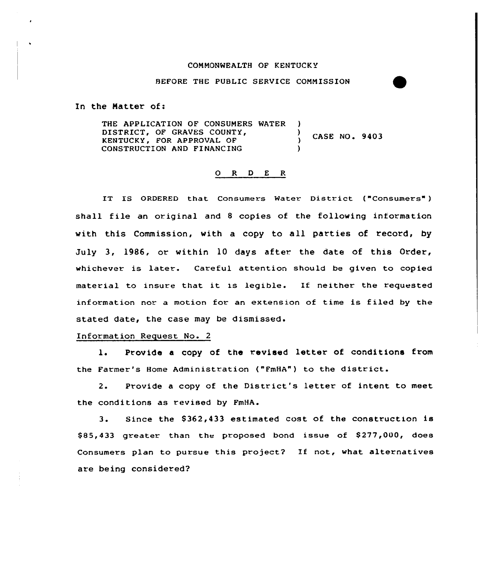## COMMONWEALTH OF KENTUCKY

## BEFORE THE PUBLIC SERVICE COMMISSION

In the Natter of:

THE APPLICATION OF CONSUMERS WATER DISTRICT, OF GRAVES COUNTY,  $\overrightarrow{y}$ CASE NO. 9403 KENTUCKY, FOR APPROVAL OF ) CONSTRUCTION AND FINANCING )

## Q R D E R

IT IS ORDERED that Consumers Water District ("Consumers" ) shall file an original and <sup>8</sup> copies of the following information with this Commission, with a copy to all parties of record, by July 3, 1986, or within 10 days after the date of this Order, whichever is later. Careful attention should be given to copied material to insure that it is legible. If neither the requested information nor a motion for an extension of time is filed by the stated date, the case may be dismissed.

## Information Request No. 2

l. Provide <sup>a</sup> copy of the revised letter of conditions from the Farmer's Home Administration ("FmHA") to the district.

2. Provide <sup>a</sup> copy of the District's letter of intent to meet the conditions as revised by FmHA.

3. Since the 8362,433 estimated cost of the construction is \$85,433 greater than the proposed bond issue of \$277,000, does Consumers plan to pursue this project? If not, what alternatives are being considered?